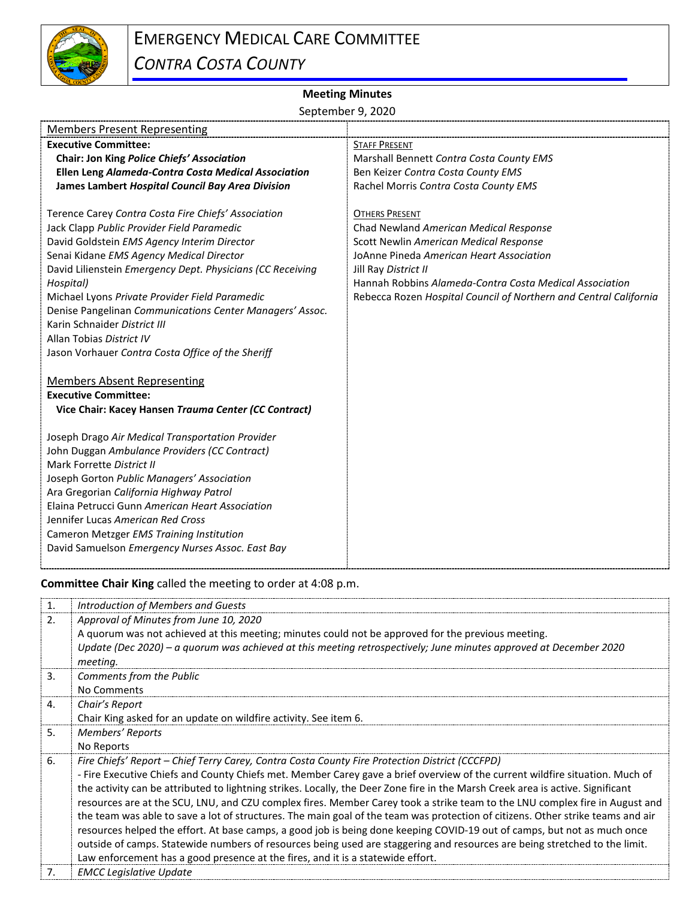

## **Meeting Minutes**

September 9, 2020

| <b>Members Present Representing</b>                                                                                                                                                                                                                                                                                                                                                                                                                                                                    |                                                                                                                                                                                                                                                                                                               |
|--------------------------------------------------------------------------------------------------------------------------------------------------------------------------------------------------------------------------------------------------------------------------------------------------------------------------------------------------------------------------------------------------------------------------------------------------------------------------------------------------------|---------------------------------------------------------------------------------------------------------------------------------------------------------------------------------------------------------------------------------------------------------------------------------------------------------------|
| <b>Executive Committee:</b>                                                                                                                                                                                                                                                                                                                                                                                                                                                                            | <b>STAFF PRESENT</b>                                                                                                                                                                                                                                                                                          |
| Chair: Jon King Police Chiefs' Association                                                                                                                                                                                                                                                                                                                                                                                                                                                             | Marshall Bennett Contra Costa County EMS                                                                                                                                                                                                                                                                      |
| Ellen Leng Alameda-Contra Costa Medical Association                                                                                                                                                                                                                                                                                                                                                                                                                                                    | Ben Keizer Contra Costa County EMS                                                                                                                                                                                                                                                                            |
| James Lambert Hospital Council Bay Area Division                                                                                                                                                                                                                                                                                                                                                                                                                                                       | Rachel Morris Contra Costa County EMS                                                                                                                                                                                                                                                                         |
| Terence Carey Contra Costa Fire Chiefs' Association<br>Jack Clapp Public Provider Field Paramedic<br>David Goldstein EMS Agency Interim Director<br>Senai Kidane EMS Agency Medical Director<br>David Lilienstein Emergency Dept. Physicians (CC Receiving<br>Hospital)<br>Michael Lyons Private Provider Field Paramedic<br>Denise Pangelinan Communications Center Managers' Assoc.<br>Karin Schnaider District III<br>Allan Tobias District IV<br>Jason Vorhauer Contra Costa Office of the Sheriff | <b>OTHERS PRESENT</b><br>Chad Newland American Medical Response<br>Scott Newlin American Medical Response<br>JoAnne Pineda American Heart Association<br>Jill Ray District II<br>Hannah Robbins Alameda-Contra Costa Medical Association<br>Rebecca Rozen Hospital Council of Northern and Central California |
| <b>Members Absent Representing</b><br><b>Executive Committee:</b><br>Vice Chair: Kacey Hansen Trauma Center (CC Contract)                                                                                                                                                                                                                                                                                                                                                                              |                                                                                                                                                                                                                                                                                                               |
| Joseph Drago Air Medical Transportation Provider<br>John Duggan Ambulance Providers (CC Contract)<br>Mark Forrette District II<br>Joseph Gorton Public Managers' Association<br>Ara Gregorian California Highway Patrol<br>Elaina Petrucci Gunn American Heart Association<br>Jennifer Lucas American Red Cross<br>Cameron Metzger EMS Training Institution<br>David Samuelson Emergency Nurses Assoc. East Bay                                                                                        |                                                                                                                                                                                                                                                                                                               |

**Committee Chair King** called the meeting to order at 4:08 p.m.

| 1. | Introduction of Members and Guests                                                                                              |
|----|---------------------------------------------------------------------------------------------------------------------------------|
| 2. | Approval of Minutes from June 10, 2020                                                                                          |
|    | A quorum was not achieved at this meeting; minutes could not be approved for the previous meeting.                              |
|    | Update (Dec 2020) – a quorum was achieved at this meeting retrospectively; June minutes approved at December 2020               |
|    | meeting.                                                                                                                        |
| 3. | Comments from the Public                                                                                                        |
|    | No Comments                                                                                                                     |
| 4. | Chair's Report                                                                                                                  |
|    | Chair King asked for an update on wildfire activity. See item 6.                                                                |
| 5. | Members' Reports                                                                                                                |
|    | No Reports                                                                                                                      |
| 6. | Fire Chiefs' Report – Chief Terry Carey, Contra Costa County Fire Protection District (CCCFPD)                                  |
|    | - Fire Executive Chiefs and County Chiefs met. Member Carey gave a brief overview of the current wildfire situation. Much of    |
|    | the activity can be attributed to lightning strikes. Locally, the Deer Zone fire in the Marsh Creek area is active. Significant |
|    | resources are at the SCU, LNU, and CZU complex fires. Member Carey took a strike team to the LNU complex fire in August and     |
|    | the team was able to save a lot of structures. The main goal of the team was protection of citizens. Other strike teams and air |
|    | resources helped the effort. At base camps, a good job is being done keeping COVID-19 out of camps, but not as much once        |
|    | outside of camps. Statewide numbers of resources being used are staggering and resources are being stretched to the limit.      |
|    | Law enforcement has a good presence at the fires, and it is a statewide effort.                                                 |
| 7. | <b>EMCC Legislative Update</b>                                                                                                  |